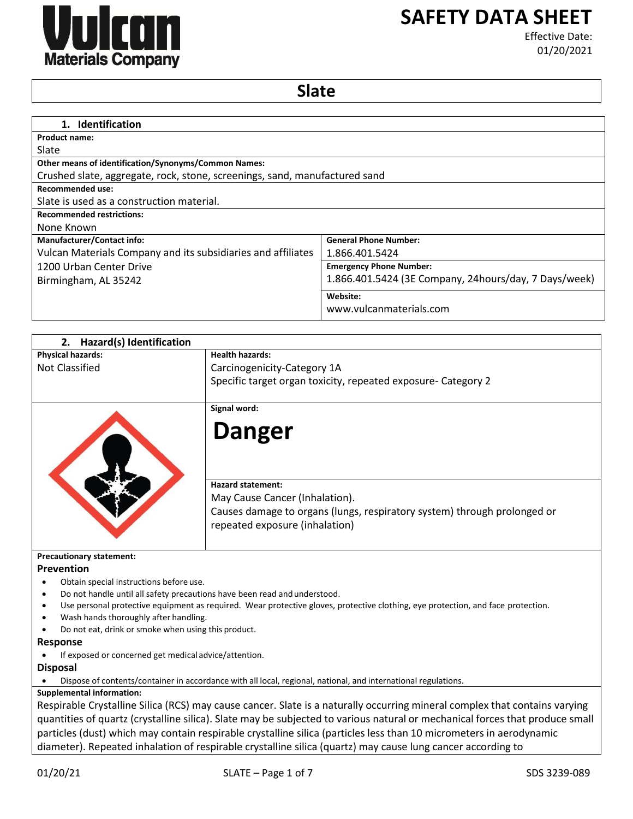

# **SAFETY DATA SHEET**

Effective Date: 01/20/2021

# **Slate**

| 1. Identification                                                          |                                                       |
|----------------------------------------------------------------------------|-------------------------------------------------------|
| <b>Product name:</b>                                                       |                                                       |
| Slate                                                                      |                                                       |
| <b>Other means of identification/Synonyms/Common Names:</b>                |                                                       |
| Crushed slate, aggregate, rock, stone, screenings, sand, manufactured sand |                                                       |
| Recommended use:                                                           |                                                       |
| Slate is used as a construction material.                                  |                                                       |
| <b>Recommended restrictions:</b>                                           |                                                       |
| None Known                                                                 |                                                       |
| <b>Manufacturer/Contact info:</b>                                          | <b>General Phone Number:</b>                          |
| Vulcan Materials Company and its subsidiaries and affiliates               | 1.866.401.5424                                        |
| 1200 Urban Center Drive                                                    | <b>Emergency Phone Number:</b>                        |
| Birmingham, AL 35242                                                       | 1.866.401.5424 (3E Company, 24hours/day, 7 Days/week) |
|                                                                            | Website:                                              |
|                                                                            | www.vulcanmaterials.com                               |

| Hazard(s) Identification<br>2.                                                               |                                                                                                                                                                          |
|----------------------------------------------------------------------------------------------|--------------------------------------------------------------------------------------------------------------------------------------------------------------------------|
| <b>Physical hazards:</b>                                                                     | <b>Health hazards:</b>                                                                                                                                                   |
| <b>Not Classified</b>                                                                        | Carcinogenicity-Category 1A                                                                                                                                              |
|                                                                                              | Specific target organ toxicity, repeated exposure- Category 2                                                                                                            |
|                                                                                              |                                                                                                                                                                          |
|                                                                                              | Signal word:                                                                                                                                                             |
|                                                                                              | <b>Danger</b>                                                                                                                                                            |
|                                                                                              | <b>Hazard statement:</b><br>May Cause Cancer (Inhalation).<br>Causes damage to organs (lungs, respiratory system) through prolonged or<br>repeated exposure (inhalation) |
| <b>Precautionary statement:</b><br>Prevention                                                |                                                                                                                                                                          |
| Obtain special instructions before use.                                                      |                                                                                                                                                                          |
| Do not handle until all safety precautions have been read and understood.                    |                                                                                                                                                                          |
|                                                                                              | Use personal protective equipment as required. Wear protective gloves, protective clothing, eye protection, and face protection.                                         |
| Wash hands thoroughly after handling.<br>Do not eat, drink or smoke when using this product. |                                                                                                                                                                          |
|                                                                                              |                                                                                                                                                                          |
| Response<br>If exposed or concerned get medical advice/attention.                            |                                                                                                                                                                          |
|                                                                                              |                                                                                                                                                                          |
| <b>Disposal</b>                                                                              |                                                                                                                                                                          |
| <b>Supplemental information:</b>                                                             | Dispose of contents/container in accordance with all local, regional, national, and international regulations.                                                           |
|                                                                                              | Respirable Crystalline Silica (RCS) may cause cancer. Slate is a naturally occurring mineral complex that contains varying                                               |
|                                                                                              |                                                                                                                                                                          |

quantities of quartz (crystalline silica). Slate may be subjected to various natural or mechanical forces that produce small particles (dust) which may contain respirable crystalline silica (particles less than 10 micrometers in aerodynamic diameter). Repeated inhalation of respirable crystalline silica (quartz) may cause lung cancer according to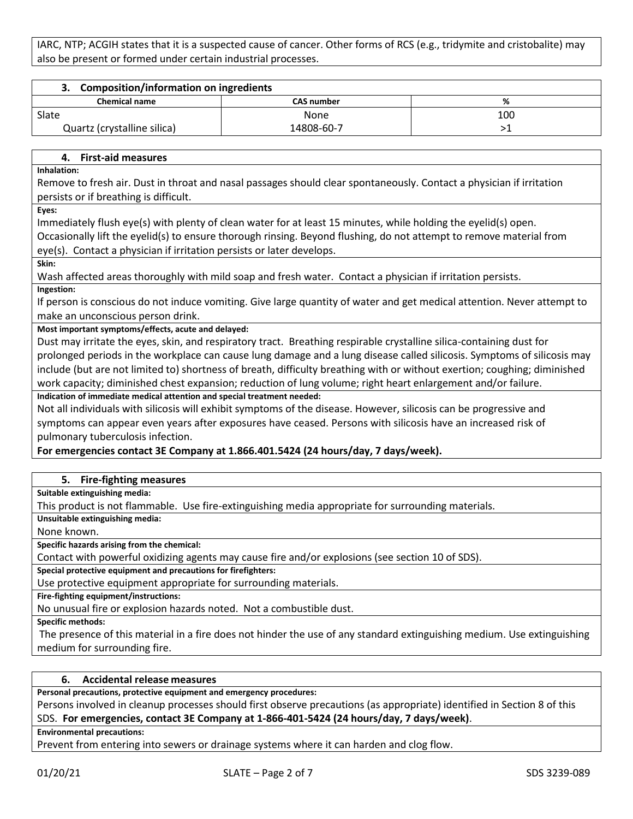IARC, NTP; ACGIH states that it is a suspected cause of cancer. Other forms of RCS (e.g., tridymite and cristobalite) may also be present or formed under certain industrial processes.

| <b>Composition/information on ingredients</b> |                   |     |
|-----------------------------------------------|-------------------|-----|
| <b>Chemical name</b>                          | <b>CAS number</b> | %   |
| Slate                                         | <b>None</b>       | 100 |
| Quartz (crystalline silica)                   | 14808-60-7        |     |

# **4. First-aid measures**

**Inhalation:**

Remove to fresh air. Dust in throat and nasal passages should clear spontaneously. Contact a physician if irritation persists or if breathing is difficult.

**Eyes:**

Immediately flush eye(s) with plenty of clean water for at least 15 minutes, while holding the eyelid(s) open.

Occasionally lift the eyelid(s) to ensure thorough rinsing. Beyond flushing, do not attempt to remove material from eye(s). Contact a physician if irritation persists or later develops.

**Skin:**

Wash affected areas thoroughly with mild soap and fresh water. Contact a physician if irritation persists.

**Ingestion:**

If person is conscious do not induce vomiting. Give large quantity of water and get medical attention. Never attempt to make an unconscious person drink.

**Most important symptoms/effects, acute and delayed:**

Dust may irritate the eyes, skin, and respiratory tract. Breathing respirable crystalline silica-containing dust for prolonged periods in the workplace can cause lung damage and a lung disease called silicosis. Symptoms of silicosis may include (but are not limited to) shortness of breath, difficulty breathing with or without exertion; coughing; diminished work capacity; diminished chest expansion; reduction of lung volume; right heart enlargement and/or failure. **Indication of immediate medical attention and special treatment needed:**

Not all individuals with silicosis will exhibit symptoms of the disease. However, silicosis can be progressive and symptoms can appear even years after exposures have ceased. Persons with silicosis have an increased risk of pulmonary tuberculosis infection.

# **For emergencies contact 3E Company at 1.866.401.5424 (24 hours/day, 7 days/week).**

# **5. Fire-fighting measures**

**Suitable extinguishing media:**

This product is not flammable. Use fire-extinguishing media appropriate for surrounding materials.

**Unsuitable extinguishing media:**

None known.

**Specific hazards arising from the chemical:**

Contact with powerful oxidizing agents may cause fire and/or explosions (see section 10 of SDS).

**Special protective equipment and precautions for firefighters:**

Use protective equipment appropriate for surrounding materials.

**Fire-fighting equipment/instructions:**

No unusual fire or explosion hazards noted. Not a combustible dust.

**Specific methods:**

The presence of this material in a fire does not hinder the use of any standard extinguishing medium. Use extinguishing medium for surrounding fire.

# **6. Accidental release measures**

**Personal precautions, protective equipment and emergency procedures:**

Persons involved in cleanup processes should first observe precautions (as appropriate) identified in Section 8 of this SDS. **For emergencies, contact 3E Company at 1-866-401-5424 (24 hours/day, 7 days/week)**.

**Environmental precautions:**

Prevent from entering into sewers or drainage systems where it can harden and clog flow.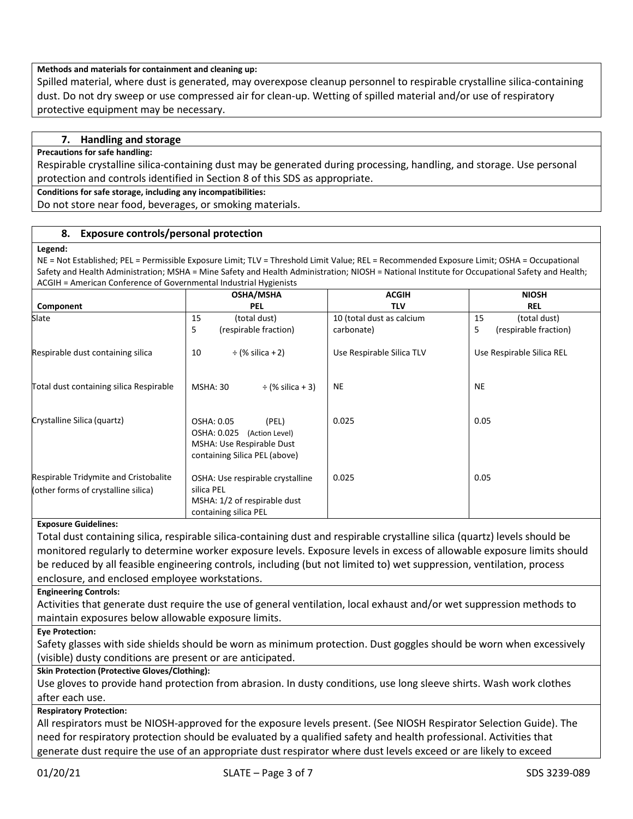# **Methods and materials for containment and cleaning up:**

Spilled material, where dust is generated, may overexpose cleanup personnel to respirable crystalline silica-containing dust. Do not dry sweep or use compressed air for clean-up. Wetting of spilled material and/or use of respiratory protective equipment may be necessary.

# **7. Handling and storage**

#### **Precautions for safe handling:**

Respirable crystalline silica-containing dust may be generated during processing, handling, and storage. Use personal protection and controls identified in Section 8 of this SDS as appropriate.

#### **Conditions for safe storage, including any incompatibilities:**

Do not store near food, beverages, or smoking materials.

# **8. Exposure controls/personal protection**

#### **Legend:**

NE = Not Established; PEL = Permissible Exposure Limit; TLV = Threshold Limit Value; REL = Recommended Exposure Limit; OSHA = Occupational Safety and Health Administration; MSHA = Mine Safety and Health Administration; NIOSH = National Institute for Occupational Safety and Health; ACGIH = American Conference of Governmental Industrial Hygienists

|                                                                              | <b>OSHA/MSHA</b>                                                                                                   | <b>ACGIH</b>              | <b>NIOSH</b>               |
|------------------------------------------------------------------------------|--------------------------------------------------------------------------------------------------------------------|---------------------------|----------------------------|
| Component                                                                    | <b>PEL</b>                                                                                                         | <b>TLV</b>                | <b>REL</b>                 |
| Slate                                                                        | 15<br>(total dust)                                                                                                 | 10 (total dust as calcium | 15<br>(total dust)         |
|                                                                              | 5<br>(respirable fraction)                                                                                         | carbonate)                | 5<br>(respirable fraction) |
| Respirable dust containing silica                                            | $\div$ (% silica + 2)<br>10                                                                                        | Use Respirable Silica TLV | Use Respirable Silica REL  |
| Total dust containing silica Respirable                                      | <b>MSHA: 30</b><br>$\div$ (% silica + 3)                                                                           | NE                        | <b>NE</b>                  |
| Crystalline Silica (quartz)                                                  | OSHA: 0.05<br>(PEL)<br>OSHA: 0.025<br>(Action Level)<br>MSHA: Use Respirable Dust<br>containing Silica PEL (above) | 0.025                     | 0.05                       |
| Respirable Tridymite and Cristobalite<br>(other forms of crystalline silica) | OSHA: Use respirable crystalline<br>silica PEL<br>MSHA: 1/2 of respirable dust<br>containing silica PEL            | 0.025                     | 0.05                       |

#### **Exposure Guidelines:**

Total dust containing silica, respirable silica-containing dust and respirable crystalline silica (quartz) levels should be monitored regularly to determine worker exposure levels. Exposure levels in excess of allowable exposure limits should be reduced by all feasible engineering controls, including (but not limited to) wet suppression, ventilation, process enclosure, and enclosed employee workstations.

**Engineering Controls:**

Activities that generate dust require the use of general ventilation, local exhaust and/or wet suppression methods to maintain exposures below allowable exposure limits.

**Eye Protection:**

Safety glasses with side shields should be worn as minimum protection. Dust goggles should be worn when excessively (visible) dusty conditions are present or are anticipated.

# **Skin Protection (Protective Gloves/Clothing):**

Use gloves to provide hand protection from abrasion. In dusty conditions, use long sleeve shirts. Wash work clothes after each use.

# **Respiratory Protection:**

All respirators must be NIOSH-approved for the exposure levels present. (See NIOSH Respirator Selection Guide). The need for respiratory protection should be evaluated by a qualified safety and health professional. Activities that generate dust require the use of an appropriate dust respirator where dust levels exceed or are likely to exceed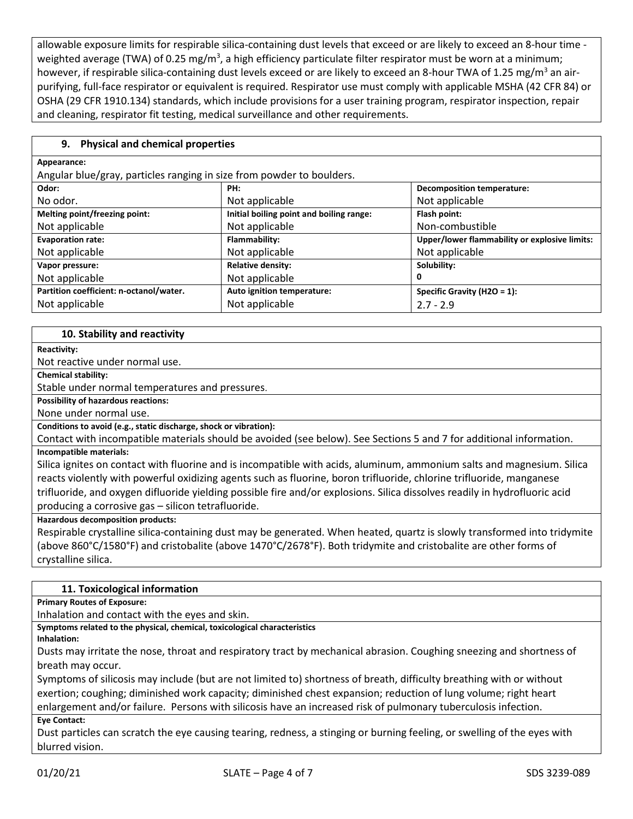allowable exposure limits for respirable silica-containing dust levels that exceed or are likely to exceed an 8-hour time weighted average (TWA) of 0.25 mg/m<sup>3</sup>, a high efficiency particulate filter respirator must be worn at a minimum; however, if respirable silica-containing dust levels exceed or are likely to exceed an 8-hour TWA of 1.25 mg/m<sup>3</sup> an airpurifying, full-face respirator or equivalent is required. Respirator use must comply with applicable MSHA (42 CFR 84) or OSHA (29 CFR 1910.134) standards, which include provisions for a user training program, respirator inspection, repair and cleaning, respirator fit testing, medical surveillance and other requirements.

# **9. Physical and chemical properties**

| Appearance:                                                           |                                          |                                               |  |
|-----------------------------------------------------------------------|------------------------------------------|-----------------------------------------------|--|
| Angular blue/gray, particles ranging in size from powder to boulders. |                                          |                                               |  |
| Odor:                                                                 | PH:                                      | <b>Decomposition temperature:</b>             |  |
| No odor.                                                              | Not applicable                           | Not applicable                                |  |
| Melting point/freezing point:                                         | Initial boiling point and boiling range: | Flash point:                                  |  |
| Not applicable                                                        | Not applicable                           | Non-combustible                               |  |
| <b>Evaporation rate:</b>                                              | Flammability:                            | Upper/lower flammability or explosive limits: |  |
| Not applicable                                                        | Not applicable                           | Not applicable                                |  |
| Vapor pressure:                                                       | <b>Relative density:</b>                 | Solubility:                                   |  |
| Not applicable                                                        | Not applicable                           | 0                                             |  |
| Partition coefficient: n-octanol/water.                               | Auto ignition temperature:               | Specific Gravity (H2O = $1$ ):                |  |
| Not applicable                                                        | Not applicable                           | $2.7 - 2.9$                                   |  |

# **10. Stability and reactivity**

**Reactivity:**

Not reactive under normal use.

**Chemical stability:**

Stable under normal temperatures and pressures.

**Possibility of hazardous reactions:**

None under normal use.

**Conditions to avoid (e.g., static discharge, shock or vibration):**

Contact with incompatible materials should be avoided (see below). See Sections 5 and 7 for additional information. **Incompatible materials:**

Silica ignites on contact with fluorine and is incompatible with acids, aluminum, ammonium salts and magnesium. Silica reacts violently with powerful oxidizing agents such as fluorine, boron trifluoride, chlorine trifluoride, manganese trifluoride, and oxygen difluoride yielding possible fire and/or explosions. Silica dissolves readily in hydrofluoric acid producing a corrosive gas – silicon tetrafluoride.

**Hazardous decomposition products:**

Respirable crystalline silica-containing dust may be generated. When heated, quartz is slowly transformed into tridymite (above 860°C/1580°F) and cristobalite (above 1470°C/2678°F). Both tridymite and cristobalite are other forms of crystalline silica.

# **11. Toxicological information**

**Primary Routes of Exposure:**

Inhalation and contact with the eyes and skin.

**Symptoms related to the physical, chemical, toxicological characteristics** 

**Inhalation:**

Dusts may irritate the nose, throat and respiratory tract by mechanical abrasion. Coughing sneezing and shortness of breath may occur.

Symptoms of silicosis may include (but are not limited to) shortness of breath, difficulty breathing with or without exertion; coughing; diminished work capacity; diminished chest expansion; reduction of lung volume; right heart enlargement and/or failure. Persons with silicosis have an increased risk of pulmonary tuberculosis infection.

**Eye Contact:**

Dust particles can scratch the eye causing tearing, redness, a stinging or burning feeling, or swelling of the eyes with blurred vision.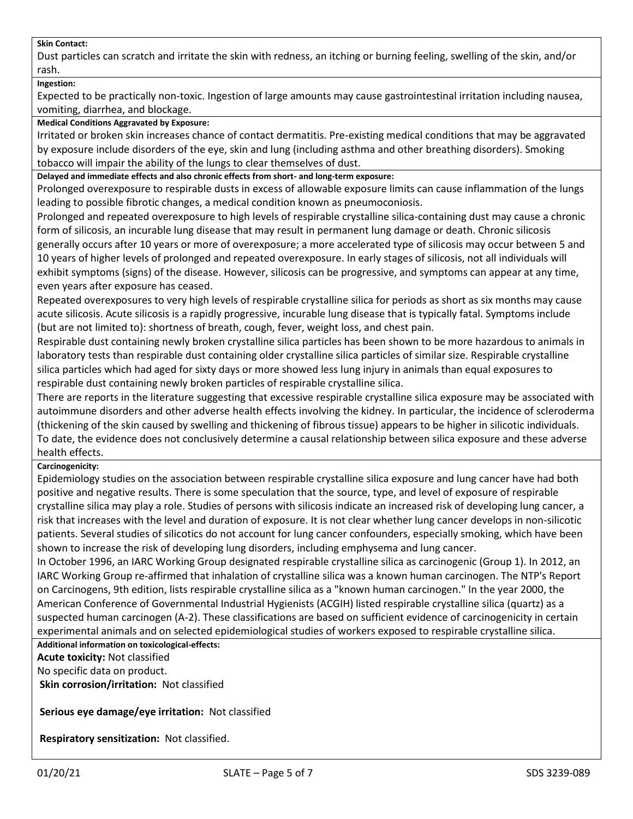# **Skin Contact:**

Dust particles can scratch and irritate the skin with redness, an itching or burning feeling, swelling of the skin, and/or rash.

#### **Ingestion:**

Expected to be practically non-toxic. Ingestion of large amounts may cause gastrointestinal irritation including nausea, vomiting, diarrhea, and blockage.

#### **Medical Conditions Aggravated by Exposure:**

Irritated or broken skin increases chance of contact dermatitis. Pre-existing medical conditions that may be aggravated by exposure include disorders of the eye, skin and lung (including asthma and other breathing disorders). Smoking tobacco will impair the ability of the lungs to clear themselves of dust.

**Delayed and immediate effects and also chronic effects from short- and long-term exposure:**

Prolonged overexposure to respirable dusts in excess of allowable exposure limits can cause inflammation of the lungs leading to possible fibrotic changes, a medical condition known as pneumoconiosis.

Prolonged and repeated overexposure to high levels of respirable crystalline silica-containing dust may cause a chronic form of silicosis, an incurable lung disease that may result in permanent lung damage or death. Chronic silicosis generally occurs after 10 years or more of overexposure; a more accelerated type of silicosis may occur between 5 and 10 years of higher levels of prolonged and repeated overexposure. In early stages of silicosis, not all individuals will exhibit symptoms (signs) of the disease. However, silicosis can be progressive, and symptoms can appear at any time, even years after exposure has ceased.

Repeated overexposures to very high levels of respirable crystalline silica for periods as short as six months may cause acute silicosis. Acute silicosis is a rapidly progressive, incurable lung disease that is typically fatal. Symptoms include (but are not limited to): shortness of breath, cough, fever, weight loss, and chest pain.

Respirable dust containing newly broken crystalline silica particles has been shown to be more hazardous to animals in laboratory tests than respirable dust containing older crystalline silica particles of similar size. Respirable crystalline silica particles which had aged for sixty days or more showed less lung injury in animals than equal exposures to respirable dust containing newly broken particles of respirable crystalline silica.

There are reports in the literature suggesting that excessive respirable crystalline silica exposure may be associated with autoimmune disorders and other adverse health effects involving the kidney. In particular, the incidence of scleroderma (thickening of the skin caused by swelling and thickening of fibrous tissue) appears to be higher in silicotic individuals. To date, the evidence does not conclusively determine a causal relationship between silica exposure and these adverse health effects.

# **Carcinogenicity:**

Epidemiology studies on the association between respirable crystalline silica exposure and lung cancer have had both positive and negative results. There is some speculation that the source, type, and level of exposure of respirable crystalline silica may play a role. Studies of persons with silicosis indicate an increased risk of developing lung cancer, a risk that increases with the level and duration of exposure. It is not clear whether lung cancer develops in non-silicotic patients. Several studies of silicotics do not account for lung cancer confounders, especially smoking, which have been shown to increase the risk of developing lung disorders, including emphysema and lung cancer.

In October 1996, an IARC Working Group designated respirable crystalline silica as carcinogenic (Group 1). In 2012, an IARC Working Group re-affirmed that inhalation of crystalline silica was a known human carcinogen. The NTP's Report on Carcinogens, 9th edition, lists respirable crystalline silica as a "known human carcinogen." In the year 2000, the American Conference of Governmental Industrial Hygienists (ACGIH) listed respirable crystalline silica (quartz) as a suspected human carcinogen (A-2). These classifications are based on sufficient evidence of carcinogenicity in certain experimental animals and on selected epidemiological studies of workers exposed to respirable crystalline silica.

**Additional information on toxicological-effects:**

**Acute toxicity:** Not classified

No specific data on product.

**Skin corrosion/irritation:** Not classified

**Serious eye damage/eye irritation:** Not classified

**Respiratory sensitization:** Not classified.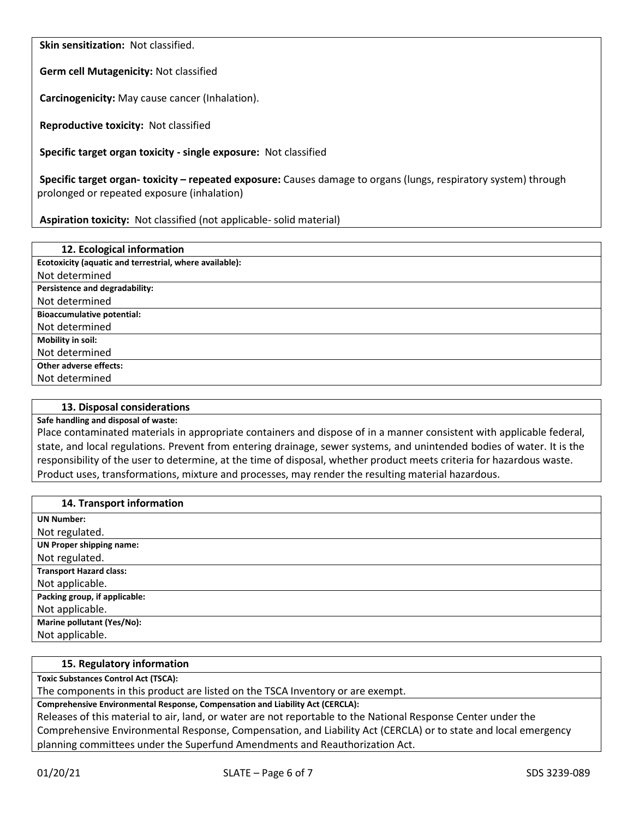**Skin sensitization:** Not classified.

**Germ cell Mutagenicity:** Not classified

**Carcinogenicity:** May cause cancer (Inhalation).

**Reproductive toxicity:** Not classified

**Specific target organ toxicity - single exposure:** Not classified

**Specific target organ- toxicity – repeated exposure:** Causes damage to organs (lungs, respiratory system) through prolonged or repeated exposure (inhalation)

**Aspiration toxicity:** Not classified (not applicable- solid material)

| 12. Ecological information                              |
|---------------------------------------------------------|
| Ecotoxicity (aquatic and terrestrial, where available): |
| Not determined                                          |
| Persistence and degradability:                          |
| Not determined                                          |
| <b>Bioaccumulative potential:</b>                       |
| Not determined                                          |
| Mobility in soil:                                       |
| Not determined                                          |
| <b>Other adverse effects:</b>                           |
| Not determined                                          |

#### **13. Disposal considerations**

# **Safe handling and disposal of waste:**

Place contaminated materials in appropriate containers and dispose of in a manner consistent with applicable federal, state, and local regulations. Prevent from entering drainage, sewer systems, and unintended bodies of water. It is the responsibility of the user to determine, at the time of disposal, whether product meets criteria for hazardous waste. Product uses, transformations, mixture and processes, may render the resulting material hazardous.

| 14. Transport information         |
|-----------------------------------|
| <b>UN Number:</b>                 |
| Not regulated.                    |
| <b>UN Proper shipping name:</b>   |
| Not regulated.                    |
| <b>Transport Hazard class:</b>    |
| Not applicable.                   |
| Packing group, if applicable:     |
| Not applicable.                   |
| <b>Marine pollutant (Yes/No):</b> |
| Not applicable.                   |

#### **15. Regulatory information**

**Toxic Substances Control Act (TSCA):**

The components in this product are listed on the TSCA Inventory or are exempt.

**Comprehensive Environmental Response, Compensation and Liability Act (CERCLA):**

Releases of this material to air, land, or water are not reportable to the National Response Center under the Comprehensive Environmental Response, Compensation, and Liability Act (CERCLA) or to state and local emergency planning committees under the Superfund Amendments and Reauthorization Act.